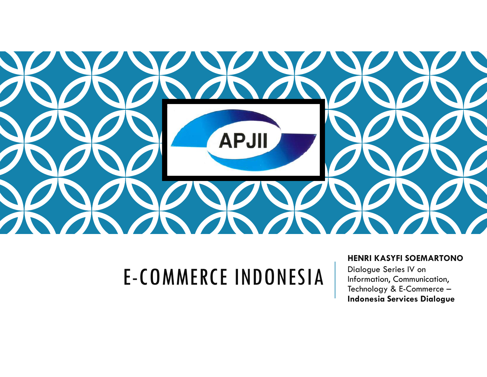

# E-COMMERCE INDONESIA

## **HENRI KASYFI SOEMARTONO**

Dialogue Series IV on Information, Communication, Technology & E-Commerce –**Indonesia Services Dialogue**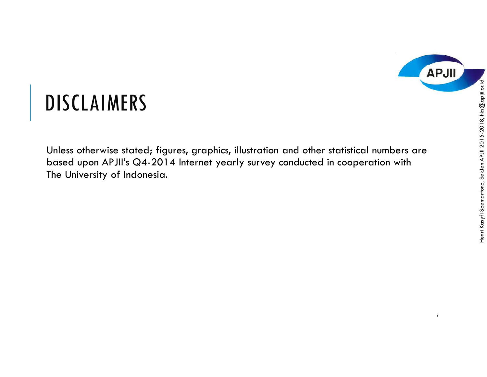

 $\begin{array}{rcl}\n & \text{DISCLAIMERS} & \text{S} & \text{Sing} \\
 \text{Unless otherwise stored; figures, graphics, illustration and other statistical numbers are based upon APJII's QA-2014 Internet yearly survey conducted in cooperation with The University of Indonesia.\n\end{array}$ Unless otherwise stated; figures, graphics, illustration and other statistical numbers are based upon APJII's Q4-2014 Internet yearly survey conducted in cooperation with The University of Indonesia.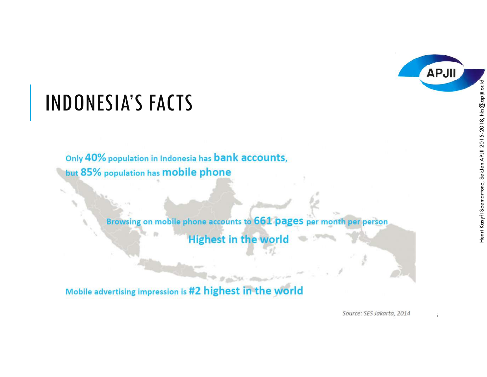

MDONESIA'S FACTS<br>
Only 40% population in Indonesia has bank accounts,<br>
but 85% population has mobile phone<br>
Browsing on mobile phone accounts to 661 pages per month per person<br>
Highest in the world

Mobile advertising impression is #2 highest in the world

Source: SES Jakarta, 2014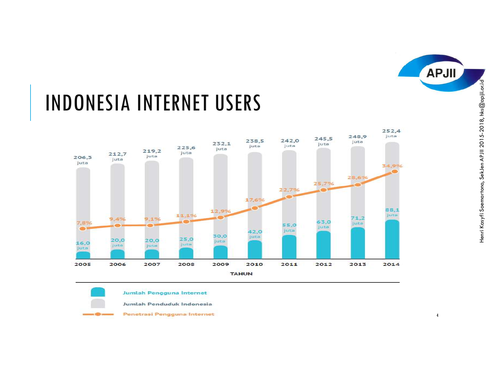



Jumlah Pengguna Internet

Jumlah Penduduk Indonesia

Penetrasi Pengguna Internet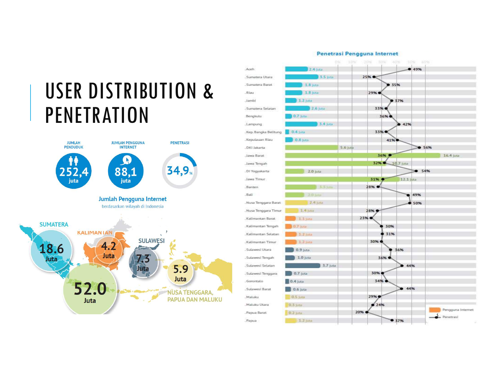



## Penetrasi Pengguna Internet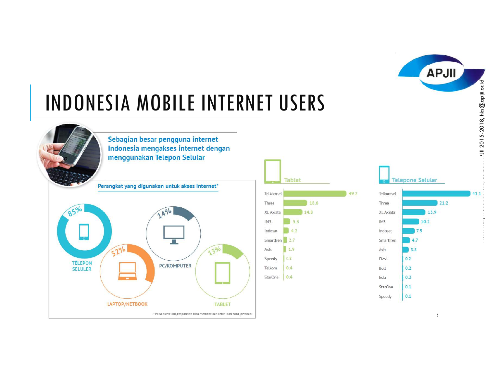





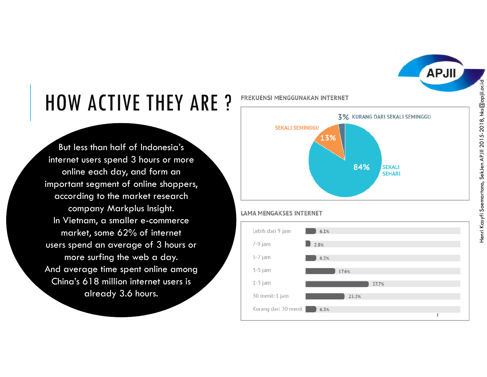

But less than half of Indonesia's internet users spend 3 hours or more online each day, and form an important segment of online shoppers, according to the market research company Markplus Insight. In Vietnam, a smaller e-commerce market, some 62% of internet users spend an average of 3 hours or more surfing the web a day. And average time spent online among China's 618 million internet users is already 3.6 hours.



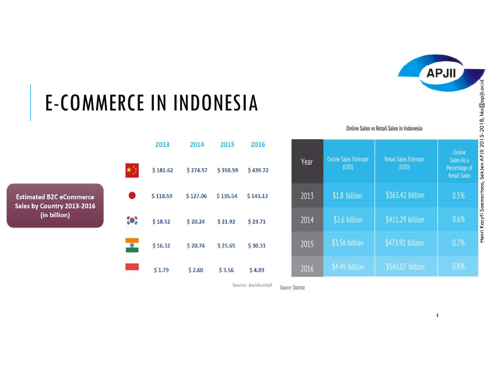

|           | 2013     | 2014     | 2015     | 2016     |  |
|-----------|----------|----------|----------|----------|--|
|           | \$181.62 | \$274.57 | \$358.59 | \$439.72 |  |
|           | \$118.59 | \$127.06 | \$135.54 | \$143.13 |  |
| ő,        | \$18.52  | \$20.24  | \$21.92  | \$23.71  |  |
| $\bullet$ | \$16.32  | \$20.74  | \$25.65  | \$30.31  |  |
|           | \$1.79   | \$2.60   | \$3.56   | \$4.89   |  |

| E-COMMERCE IN INDONESIA                             |               |          |          |          |          |                                           |                                |                                       |                                                              |                             |  |  |
|-----------------------------------------------------|---------------|----------|----------|----------|----------|-------------------------------------------|--------------------------------|---------------------------------------|--------------------------------------------------------------|-----------------------------|--|--|
|                                                     |               |          |          |          |          | Online Sales vs Retail Sales in Indonesia |                                |                                       |                                                              | $5-2018$ , hks $@$ api      |  |  |
| <b>B2C</b> eCommerce<br>untry 2013-2016<br>billion) |               | 2013     | 2014     | 2015     | 2016     |                                           | Online Sales Estimate<br>(USD) | <b>Retail Sales Estimate</b><br>(USD) | Online<br>Sales As a<br>Percentage of<br><b>Retail Sales</b> | <b>201</b><br><b>III</b> 4A |  |  |
|                                                     | $\star$ ):    | \$181.62 | \$274.57 | \$358.59 | \$439.72 | Year                                      |                                |                                       |                                                              | SekJen                      |  |  |
|                                                     |               | \$118.59 | \$127.06 | \$135.54 | \$143.13 | 2013                                      | \$1.8 billion                  | \$363.42 billion                      | 0.5%                                                         | Soemartono,                 |  |  |
|                                                     | $\frac{1}{2}$ | \$18.52  | \$20.24  | \$21.92  | \$23.71  | 2014                                      | \$2.6 billion                  | \$411.29 billion                      | 0.6%                                                         | Henri Kasyfi                |  |  |
|                                                     | $\bullet$     | \$16.32  | \$20.74  | \$25.65  | \$30.31  | 2015                                      | \$3.56 billion                 | \$473.91 billion                      | 0.7%                                                         |                             |  |  |
|                                                     |               | \$1.79   | \$2.60   | \$3.56   | \$4.89   | 2016                                      | \$4.49 billion                 | \$543.07 billion                      | 0.8%                                                         |                             |  |  |

Source: Insideretail Source: Statista

8

Henri Kasyfi Soemartono, SekJen APJII 2015-2018, hks@apjii.or.id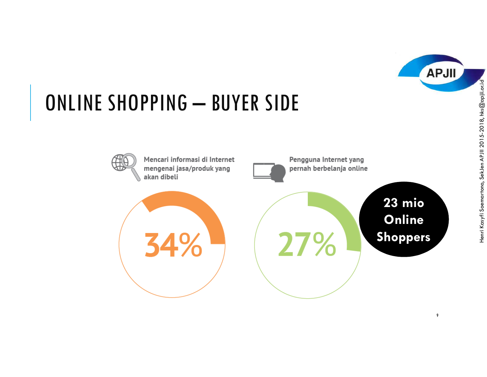

# **ONLINE SHOPPING — BUYER SIDE**<br>
Mencari informasi di Internet<br>
mengenai jasa/produk yang<br>
akan dibeli<br> **Engguna Internet yang**<br>
Pernah berbelanja online<br> **Engguna Internet yang**<br> **Engguna Internet yang**<br> **Engguna Internet**





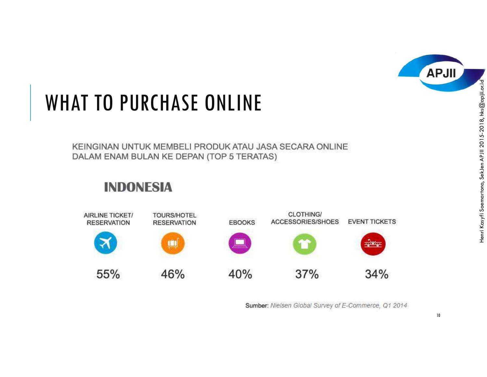



Sumber: Nielsen Global Survey of E-Commerce, Q1 2014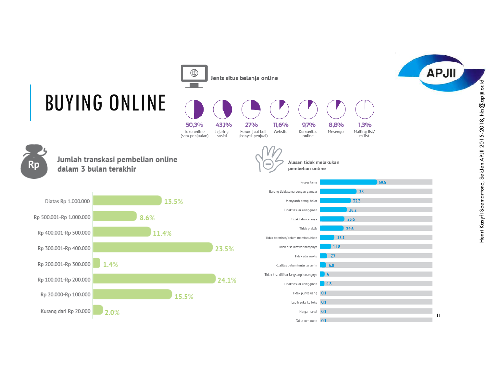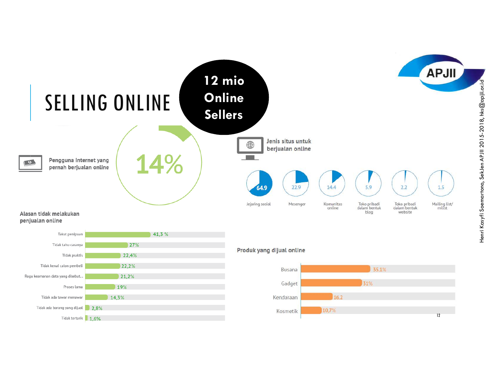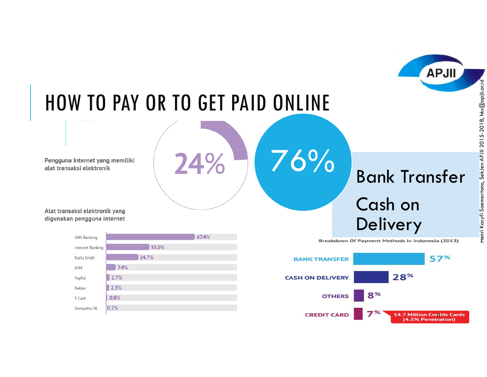# HOW TO PAY OR TO GET PAID ONLINE<br>
Engguna Internet yang memiliki<br>
lat transaksi elektronik yang<br>
lat transaksi elektronik yang<br>
Sigunakan pengguna internet<br>
Sigunakan pengguna internet<br>
Sigunakan pengguna internet<br>
Sigunak



Bank Transfer

**APJII** 



Breakdown Of Payment Methods in Indonesia (2013)



76%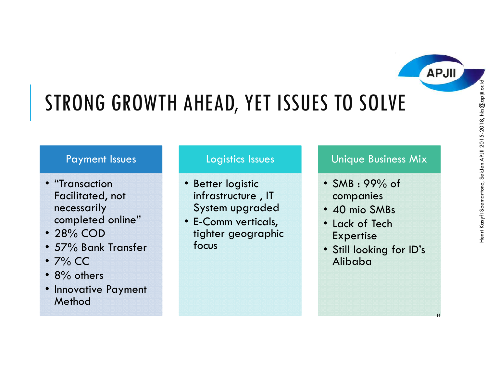# STRONG GROWTH AHEAD, YET ISSUES TO SOLVE

## Payment Issues

- "Transaction "Transaction Facilitated, not necessarily completed online"
- 28% COD<br>• 57% Bank
- 57% Bank Transfer<br>• 7% CC
- 7% CC<br>• 8% oth
- 8% others
- 8% others Innovative Payment Method

# Logistics Issues

- Better logistic infrastructure , IT System upgraded
- E-Comm verticals, tighter geographic focus

# Unique Business Mix

- SMB : 99% of companies
- 40 mio SMBs
- 40 mio SMBs Lack of Tech Expertise
- Still looking for ID's Alibaba

14

**APJII**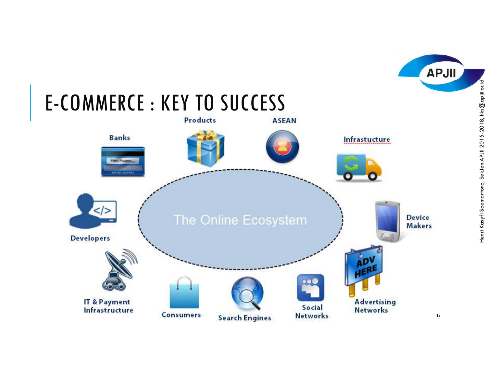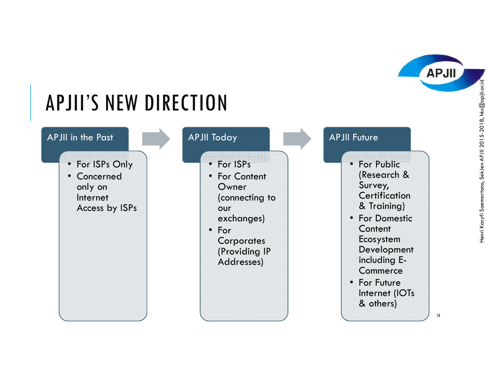

Henri Kasyfi Soemartono, SekJen APJII 2015-2018, hks@apjii.or.id

**APJII**